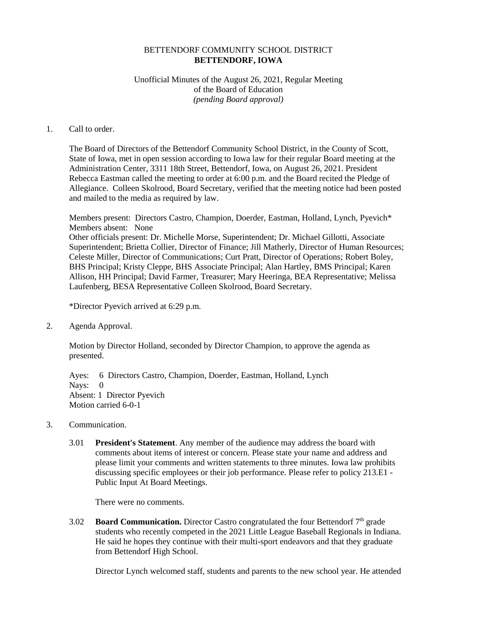## BETTENDORF COMMUNITY SCHOOL DISTRICT **BETTENDORF, IOWA**

## Unofficial Minutes of the August 26, 2021, Regular Meeting of the Board of Education *(pending Board approval)*

## 1. Call to order.

The Board of Directors of the Bettendorf Community School District, in the County of Scott, State of Iowa, met in open session according to Iowa law for their regular Board meeting at the Administration Center, 3311 18th Street, Bettendorf, Iowa, on August 26, 2021. President Rebecca Eastman called the meeting to order at 6:00 p.m. and the Board recited the Pledge of Allegiance. Colleen Skolrood, Board Secretary, verified that the meeting notice had been posted and mailed to the media as required by law.

Members present: Directors Castro, Champion, Doerder, Eastman, Holland, Lynch, Pyevich\* Members absent: None Other officials present: Dr. Michelle Morse, Superintendent; Dr. Michael Gillotti, Associate Superintendent; Brietta Collier, Director of Finance; Jill Matherly, Director of Human Resources; Celeste Miller, Director of Communications; Curt Pratt, Director of Operations; Robert Boley, BHS Principal; Kristy Cleppe, BHS Associate Principal; Alan Hartley, BMS Principal; Karen Allison, HH Principal; David Farmer, Treasurer; Mary Heeringa, BEA Representative; Melissa Laufenberg, BESA Representative Colleen Skolrood, Board Secretary.

\*Director Pyevich arrived at 6:29 p.m.

2. Agenda Approval.

Motion by Director Holland, seconded by Director Champion, to approve the agenda as presented.

Ayes: 6 Directors Castro, Champion, Doerder, Eastman, Holland, Lynch Nays: 0 Absent: 1 Director Pyevich Motion carried 6-0-1

- 3. Communication.
	- 3.01 **President's Statement**. Any member of the audience may address the board with comments about items of interest or concern. Please state your name and address and please limit your comments and written statements to three minutes. Iowa law prohibits discussing specific employees or their job performance. Please refer to policy 213.E1 - Public Input At Board Meetings.

There were no comments.

3.02 **Board Communication.** Director Castro congratulated the four Bettendorf 7th grade students who recently competed in the 2021 Little League Baseball Regionals in Indiana. He said he hopes they continue with their multi-sport endeavors and that they graduate from Bettendorf High School.

Director Lynch welcomed staff, students and parents to the new school year. He attended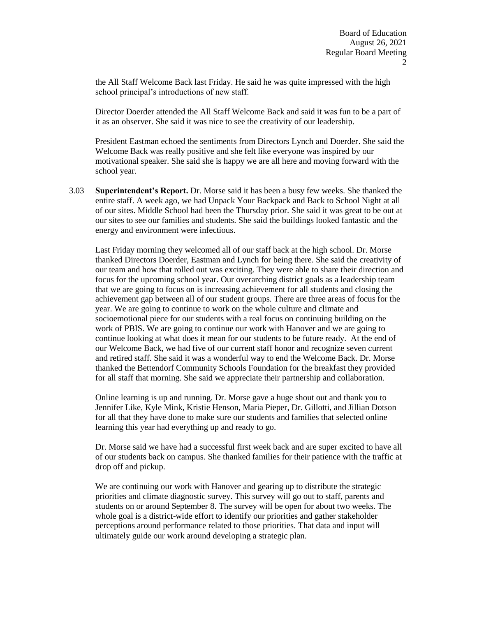the All Staff Welcome Back last Friday. He said he was quite impressed with the high school principal's introductions of new staff.

Director Doerder attended the All Staff Welcome Back and said it was fun to be a part of it as an observer. She said it was nice to see the creativity of our leadership.

President Eastman echoed the sentiments from Directors Lynch and Doerder. She said the Welcome Back was really positive and she felt like everyone was inspired by our motivational speaker. She said she is happy we are all here and moving forward with the school year.

3.03 **Superintendent's Report.** Dr. Morse said it has been a busy few weeks. She thanked the entire staff. A week ago, we had Unpack Your Backpack and Back to School Night at all of our sites. Middle School had been the Thursday prior. She said it was great to be out at our sites to see our families and students. She said the buildings looked fantastic and the energy and environment were infectious.

Last Friday morning they welcomed all of our staff back at the high school. Dr. Morse thanked Directors Doerder, Eastman and Lynch for being there. She said the creativity of our team and how that rolled out was exciting. They were able to share their direction and focus for the upcoming school year. Our overarching district goals as a leadership team that we are going to focus on is increasing achievement for all students and closing the achievement gap between all of our student groups. There are three areas of focus for the year. We are going to continue to work on the whole culture and climate and socioemotional piece for our students with a real focus on continuing building on the work of PBIS. We are going to continue our work with Hanover and we are going to continue looking at what does it mean for our students to be future ready. At the end of our Welcome Back, we had five of our current staff honor and recognize seven current and retired staff. She said it was a wonderful way to end the Welcome Back. Dr. Morse thanked the Bettendorf Community Schools Foundation for the breakfast they provided for all staff that morning. She said we appreciate their partnership and collaboration.

Online learning is up and running. Dr. Morse gave a huge shout out and thank you to Jennifer Like, Kyle Mink, Kristie Henson, Maria Pieper, Dr. Gillotti, and Jillian Dotson for all that they have done to make sure our students and families that selected online learning this year had everything up and ready to go.

Dr. Morse said we have had a successful first week back and are super excited to have all of our students back on campus. She thanked families for their patience with the traffic at drop off and pickup.

We are continuing our work with Hanover and gearing up to distribute the strategic priorities and climate diagnostic survey. This survey will go out to staff, parents and students on or around September 8. The survey will be open for about two weeks. The whole goal is a district-wide effort to identify our priorities and gather stakeholder perceptions around performance related to those priorities. That data and input will ultimately guide our work around developing a strategic plan.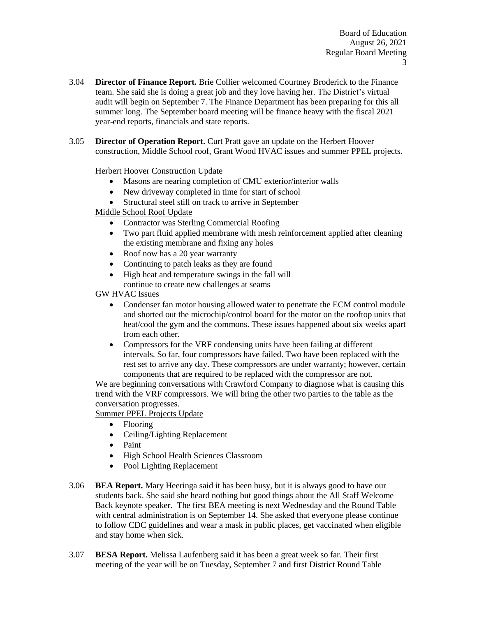- 3.04 **Director of Finance Report.** Brie Collier welcomed Courtney Broderick to the Finance team. She said she is doing a great job and they love having her. The District's virtual audit will begin on September 7. The Finance Department has been preparing for this all summer long. The September board meeting will be finance heavy with the fiscal 2021 year-end reports, financials and state reports.
- 3.05 **Director of Operation Report.** Curt Pratt gave an update on the Herbert Hoover construction, Middle School roof, Grant Wood HVAC issues and summer PPEL projects.

Herbert Hoover Construction Update

- Masons are nearing completion of CMU exterior/interior walls
- New driveway completed in time for start of school
- Structural steel still on track to arrive in September

Middle School Roof Update

- Contractor was Sterling Commercial Roofing
- Two part fluid applied membrane with mesh reinforcement applied after cleaning the existing membrane and fixing any holes
- Roof now has a 20 year warranty
- Continuing to patch leaks as they are found
- High heat and temperature swings in the fall will
- continue to create new challenges at seams

GW HVAC Issues

- Condenser fan motor housing allowed water to penetrate the ECM control module and shorted out the microchip/control board for the motor on the rooftop units that heat/cool the gym and the commons. These issues happened about six weeks apart from each other.
- Compressors for the VRF condensing units have been failing at different intervals. So far, four compressors have failed. Two have been replaced with the rest set to arrive any day. These compressors are under warranty; however, certain components that are required to be replaced with the compressor are not.

We are beginning conversations with Crawford Company to diagnose what is causing this trend with the VRF compressors. We will bring the other two parties to the table as the conversation progresses.

Summer PPEL Projects Update

- Flooring
- Ceiling/Lighting Replacement
- Paint
- High School Health Sciences Classroom
- Pool Lighting Replacement
- 3.06 **BEA Report.** Mary Heeringa said it has been busy, but it is always good to have our students back. She said she heard nothing but good things about the All Staff Welcome Back keynote speaker. The first BEA meeting is next Wednesday and the Round Table with central administration is on September 14. She asked that everyone please continue to follow CDC guidelines and wear a mask in public places, get vaccinated when eligible and stay home when sick.
- 3.07 **BESA Report.** Melissa Laufenberg said it has been a great week so far. Their first meeting of the year will be on Tuesday, September 7 and first District Round Table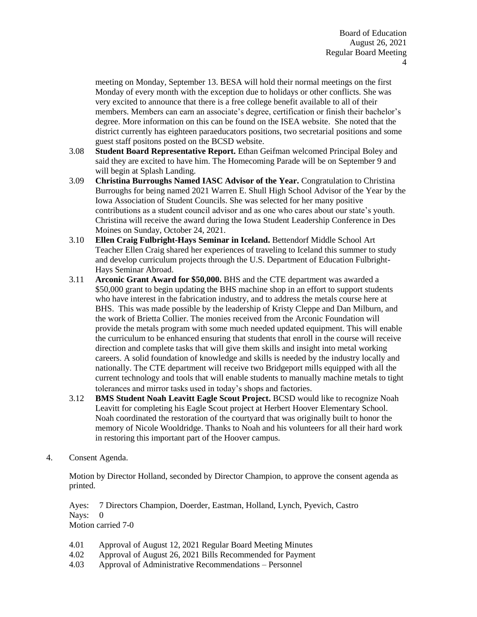meeting on Monday, September 13. BESA will hold their normal meetings on the first Monday of every month with the exception due to holidays or other conflicts. She was very excited to announce that there is a free college benefit available to all of their members. Members can earn an associate's degree, certification or finish their bachelor's degree. More information on this can be found on the ISEA website. She noted that the district currently has eighteen paraeducators positions, two secretarial positions and some guest staff positons posted on the BCSD website.

- 3.08 **Student Board Representative Report.** Ethan Geifman welcomed Principal Boley and said they are excited to have him. The Homecoming Parade will be on September 9 and will begin at Splash Landing.
- 3.09 **Christina Burroughs Named IASC Advisor of the Year.** Congratulation to Christina Burroughs for being named 2021 Warren E. Shull High School Advisor of the Year by the Iowa Association of Student Councils. She was selected for her many positive contributions as a student council advisor and as one who cares about our state's youth. Christina will receive the award during the Iowa Student Leadership Conference in Des Moines on Sunday, October 24, 2021.
- 3.10 **Ellen Craig Fulbright-Hays Seminar in Iceland.** Bettendorf Middle School Art Teacher Ellen Craig shared her experiences of traveling to Iceland this summer to study and develop curriculum projects through the U.S. Department of Education Fulbright-Hays Seminar Abroad.
- 3.11 **Arconic Grant Award for \$50,000.** BHS and the CTE department was awarded a \$50,000 grant to begin updating the BHS machine shop in an effort to support students who have interest in the fabrication industry, and to address the metals course here at BHS. This was made possible by the leadership of Kristy Cleppe and Dan Milburn, and the work of Brietta Collier. The monies received from the Arconic Foundation will provide the metals program with some much needed updated equipment. This will enable the curriculum to be enhanced ensuring that students that enroll in the course will receive direction and complete tasks that will give them skills and insight into metal working careers. A solid foundation of knowledge and skills is needed by the industry locally and nationally. The CTE department will receive two Bridgeport mills equipped with all the current technology and tools that will enable students to manually machine metals to tight tolerances and mirror tasks used in today's shops and factories.
- 3.12 **BMS Student Noah Leavitt Eagle Scout Project.** BCSD would like to recognize Noah Leavitt for completing his Eagle Scout project at Herbert Hoover Elementary School. Noah coordinated the restoration of the courtyard that was originally built to honor the memory of Nicole Wooldridge. Thanks to Noah and his volunteers for all their hard work in restoring this important part of the Hoover campus.
- 4. Consent Agenda.

Motion by Director Holland, seconded by Director Champion, to approve the consent agenda as printed.

Ayes: 7 Directors Champion, Doerder, Eastman, Holland, Lynch, Pyevich, Castro Nays: 0 Motion carried 7-0

- 4.01 Approval of August 12, 2021 Regular Board Meeting Minutes
- 4.02 Approval of August 26, 2021 Bills Recommended for Payment
- 4.03 Approval of Administrative Recommendations – Personnel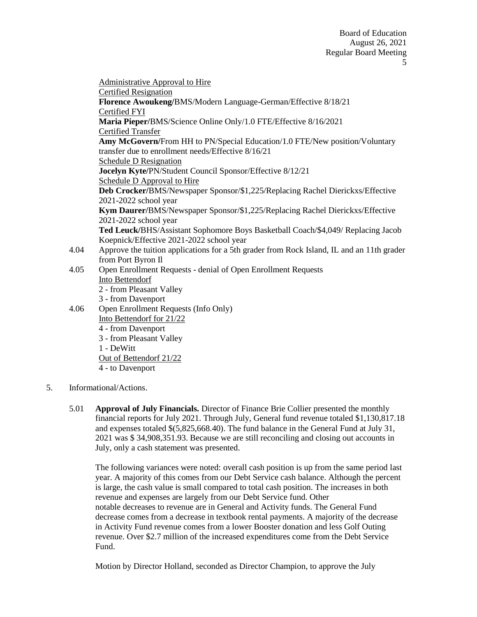4.04 4.05 4.06 Administrative Approval to Hire Certified Resignation **Florence Awoukeng/**BMS/Modern Language-German/Effective 8/18/21 Certified FYI **Maria Pieper/**BMS/Science Online Only/1.0 FTE/Effective 8/16/2021 Certified Transfer **Amy McGovern/**From HH to PN/Special Education/1.0 FTE/New position/Voluntary transfer due to enrollment needs/Effective 8/16/21 Schedule D Resignation **Jocelyn Kyte/**PN/Student Council Sponsor/Effective 8/12/21 Schedule D Approval to Hire **Deb Crocker/**BMS/Newspaper Sponsor/\$1,225/Replacing Rachel Dierickxs/Effective 2021-2022 school year **Kym Daurer/**BMS/Newspaper Sponsor/\$1,225/Replacing Rachel Dierickxs/Effective 2021-2022 school year **Ted Leuck/**BHS/Assistant Sophomore Boys Basketball Coach/\$4,049/ Replacing Jacob Koepnick/Effective 2021-2022 school year Approve the tuition applications for a 5th grader from Rock Island, IL and an 11th grader from Port Byron Il Open Enrollment Requests - denial of Open Enrollment Requests Into Bettendorf 2 - from Pleasant Valley 3 - from Davenport Open Enrollment Requests (Info Only) Into Bettendorf for 21/22 4 - from Davenport 3 - from Pleasant Valley 1 - DeWitt Out of Bettendorf 21/22 4 - to Davenport

- 5. Informational/Actions.
	- 5.01 **Approval of July Financials.** Director of Finance Brie Collier presented the monthly financial reports for July 2021. Through July, General fund revenue totaled \$1,130,817.18 and expenses totaled \$(5,825,668.40). The fund balance in the General Fund at July 31, 2021 was \$ 34,908,351.93. Because we are still reconciling and closing out accounts in July, only a cash statement was presented.

The following variances were noted: overall cash position is up from the same period last year. A majority of this comes from our Debt Service cash balance. Although the percent is large, the cash value is small compared to total cash position. The increases in both revenue and expenses are largely from our Debt Service fund. Other notable decreases to revenue are in General and Activity funds. The General Fund decrease comes from a decrease in textbook rental payments. A majority of the decrease in Activity Fund revenue comes from a lower Booster donation and less Golf Outing revenue. Over \$2.7 million of the increased expenditures come from the Debt Service Fund.

Motion by Director Holland, seconded as Director Champion, to approve the July